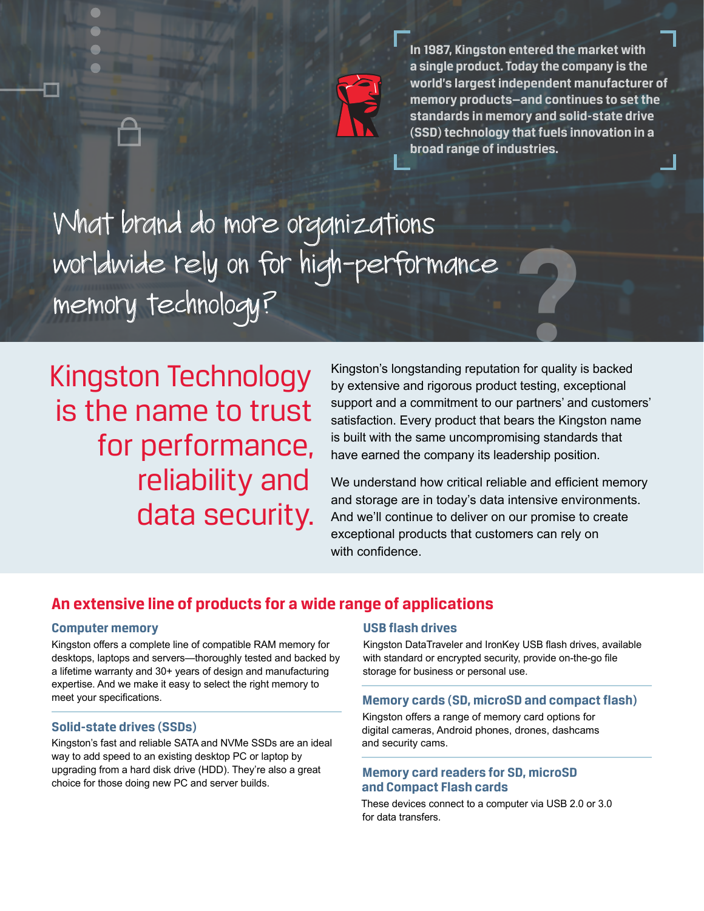

**In 1987, Kingston entered the market with a single product. Today the company is the world's largest independent manufacturer of memory products—and continues to set the standards in memory and solid-state drive (SSD) technology that fuels innovation in a broad range of industries.**

What brand do more organizations worldwide rely on for high-performance memory technology?

Kingston Technology is the name to trust for performance, reliability and data security.

**8** Kingston's longstanding reputation for quality is backed by extensive and rigorous product testing, exceptional support and a commitment to our partners' and customers' satisfaction. Every product that bears the Kingston name is built with the same uncompromising standards that have earned the company its leadership position.

We understand how critical reliable and efficient memory and storage are in today's data intensive environments. And we'll continue to deliver on our promise to create exceptional products that customers can rely on with confidence.

# **An extensive line of products for a wide range of applications**

### **Computer memory**

Kingston offers a complete line of compatible RAM memory for desktops, laptops and servers—thoroughly tested and backed by a lifetime warranty and 30+ years of design and manufacturing expertise. And we make it easy to select the right memory to meet your specifications.

### **Solid-state drives (SSDs)**

Kingston's fast and reliable SATA and NVMe SSDs are an ideal way to add speed to an existing desktop PC or laptop by upgrading from a hard disk drive (HDD). They're also a great choice for those doing new PC and server builds.

### **USB flash drives**

Kingston DataTraveler and IronKey USB flash drives, available with standard or encrypted security, provide on-the-go file storage for business or personal use.

### **Memory cards (SD, microSD and compact flash)**

Kingston offers a range of memory card options for digital cameras, Android phones, drones, dashcams and security cams.

## **Memory card readers for SD, microSD and Compact Flash cards**

These devices connect to a computer via USB 2.0 or 3.0 for data transfers.